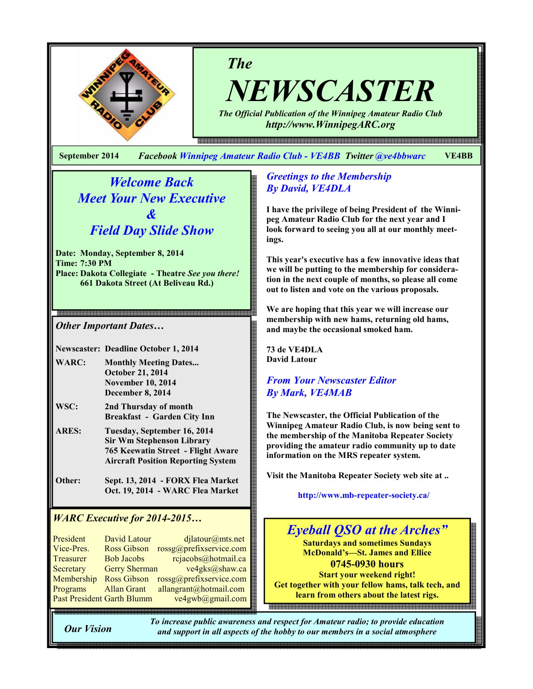

The

NEWSCASTER The Official Publication of the Winnipeg Amateur Radio Club

http://www.WinnipegARC.org

September 2014 Facebook Winnipeg Amateur Radio Club - VE4BB Twitter @ve4bbwarc VE4BB

Welcome Back Meet Your New Executive  $\boldsymbol{\mathcal{X}}$ Field Day Slide Show

Date: Monday, September 8, 2014 Time: 7:30 PM Place: Dakota Collegiate - Theatre See you there! 661 Dakota Street (At Beliveau Rd.)

Other Important Dates…

Newscaster: Deadline October 1, 2014

- WARC: Monthly Meeting Dates... October 21, 2014 November 10, 2014 December 8, 2014
- WSC: 2nd Thursday of month Breakfast - Garden City Inn
- ARES: Tuesday, September 16, 2014 Sir Wm Stephenson Library 765 Keewatin Street - Flight Aware Aircraft Position Reporting System
- Other: Sept. 13, 2014 FORX Flea Market Oct. 19, 2014 - WARC Flea Market

# WARC Executive for 2014-2015…

President David Latour djlatour@mts.net Vice-Pres. Ross Gibson rossg@prefixservice.com Treasurer Bob Jacobs rejacobs@hotmail.ca Secretary Gerry Sherman ve4gks@shaw.ca Membership Ross Gibson rossg@prefixservice.com Programs Allan Grant allangrant@hotmail.com Past President Garth Blumm ve4gwb@gmail.com

### Greetings to the Membership By David, VE4DLA

I have the privilege of being President of the Winnipeg Amateur Radio Club for the next year and I look forward to seeing you all at our monthly meetings.

This year's executive has a few innovative ideas that we will be putting to the membership for consideration in the next couple of months, so please all come out to listen and vote on the various proposals.

We are hoping that this year we will increase our membership with new hams, returning old hams, and maybe the occasional smoked ham.

73 de VE4DLA David Latour

# From Your Newscaster Editor By Mark, VE4MAB

The Newscaster, the Official Publication of the Winnipeg Amateur Radio Club, is now being sent to the membership of the Manitoba Repeater Society providing the amateur radio community up to date information on the MRS repeater system.

Visit the Manitoba Repeater Society web site at ..

http://www.mb-repeater-society.ca/



Our Vision

To increase public awareness and respect for Amateur radio; to provide education and support in all aspects of the hobby to our members in a social atmosphere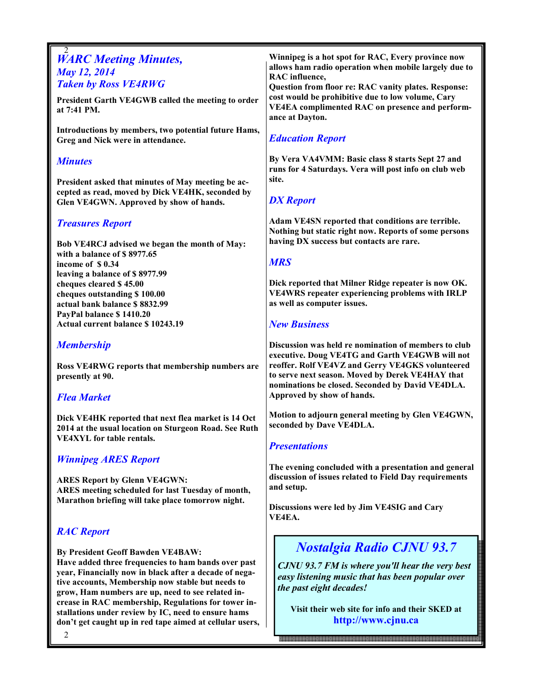#### 2 **WARC Meeting Minutes,** May 12, 2014 Taken by Ross VE4RWG

President Garth VE4GWB called the meeting to order at 7:41 PM.

Introductions by members, two potential future Hams, Greg and Nick were in attendance.

#### **Minutes**

President asked that minutes of May meeting be accepted as read, moved by Dick VE4HK, seconded by Glen VE4GWN. Approved by show of hands.

# Treasures Report

Bob VE4RCJ advised we began the month of May: with a balance of \$ 8977.65 income of \$ 0.34 leaving a balance of \$ 8977.99 cheques cleared \$ 45.00 cheques outstanding \$ 100.00 actual bank balance \$ 8832.99 PayPal balance \$ 1410.20 Actual current balance \$ 10243.19

# **Membership**

Ross VE4RWG reports that membership numbers are presently at 90.

# Flea Market

Dick VE4HK reported that next flea market is 14 Oct 2014 at the usual location on Sturgeon Road. See Ruth VE4XYL for table rentals.

# Winnipeg ARES Report

ARES Report by Glenn VE4GWN: ARES meeting scheduled for last Tuesday of month, Marathon briefing will take place tomorrow night.

# RAC Report

By President Geoff Bawden VE4BAW: Have added three frequencies to ham bands over past year, Financially now in black after a decade of negative accounts, Membership now stable but needs to grow, Ham numbers are up, need to see related increase in RAC membership, Regulations for tower installations under review by IC, need to ensure hams don't get caught up in red tape aimed at cellular users, Winnipeg is a hot spot for RAC, Every province now allows ham radio operation when mobile largely due to RAC influence,

Question from floor re: RAC vanity plates. Response: cost would be prohibitive due to low volume, Cary VE4EA complimented RAC on presence and performance at Dayton.

# Education Report

By Vera VA4VMM: Basic class 8 starts Sept 27 and runs for 4 Saturdays. Vera will post info on club web site.

# DX Report

Adam VE4SN reported that conditions are terrible. Nothing but static right now. Reports of some persons having DX success but contacts are rare.

### **MRS**

Dick reported that Milner Ridge repeater is now OK. VE4WRS repeater experiencing problems with IRLP as well as computer issues.

# New Business

Discussion was held re nomination of members to club executive. Doug VE4TG and Garth VE4GWB will not reoffer. Rolf VE4VZ and Gerry VE4GKS volunteered to serve next season. Moved by Derek VE4HAY that nominations be closed. Seconded by David VE4DLA. Approved by show of hands.

Motion to adjourn general meeting by Glen VE4GWN, seconded by Dave VE4DLA.

# **Presentations**

The evening concluded with a presentation and general discussion of issues related to Field Day requirements and setup.

Discussions were led by Jim VE4SIG and Cary VE4EA.

# Nostalgia Radio CJNU 93.7

CJNU 93.7 FM is where you'll hear the very best easy listening music that has been popular over the past eight decades!

Visit their web site for info and their SKED at http://www.cjnu.ca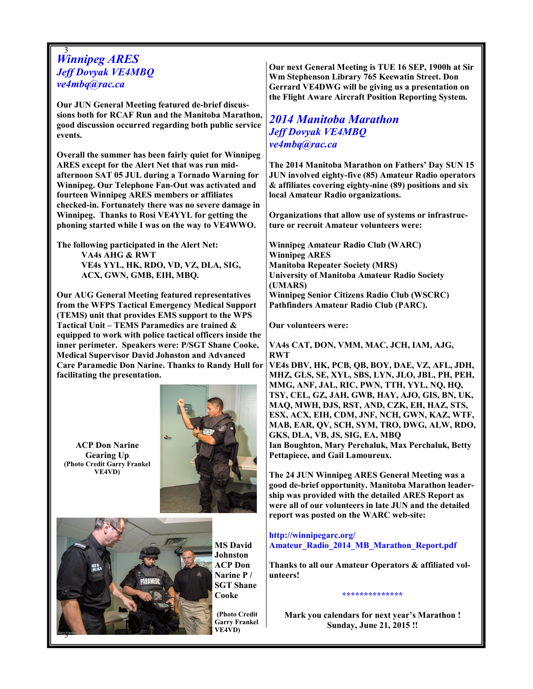#### 3 Winnipeg ARES Jeff Dovyak VE4MBQ ve4mbq@rac.ca

Our JUN General Meeting featured de-brief discussions both for RCAF Run and the Manitoba Marathon, good discussion occurred regarding both public service events.

Overall the summer has been fairly quiet for Winnipeg ARES except for the Alert Net that was run midafternoon SAT 05 JUL during a Tornado Warning for Winnipeg. Our Telephone Fan-Out was activated and fourteen Winnipeg ARES members or affiliates checked-in. Fortunately there was no severe damage in Winnipeg. Thanks to Rosi VE4YYL for getting the phoning started while I was on the way to VE4WWO.

The following participated in the Alert Net: VA4s AHG & RWT VE4s YYL, HK, RDO, VD, VZ, DLA, SIG, ACX, GWN, GMB, EIH, MBQ.

Our AUG General Meeting featured representatives from the WFPS Tactical Emergency Medical Support (TEMS) unit that provides EMS support to the WPS Tactical Unit – TEMS Paramedics are trained & equipped to work with police tactical officers inside the inner perimeter. Speakers were: P/SGT Shane Cooke, Medical Supervisor David Johnston and Advanced Care Paramedic Don Narine. Thanks to Randy Hull for facilitating the presentation.

ACP Don Narine Gearing Up (Photo Credit Garry Frankel VE4VD)





MS David Johnston ACP Don Narine P / SGT Shane Cooke

(Photo Credit Garry Frankel VE4VD)

Our next General Meeting is TUE 16 SEP, 1900h at Sir Wm Stephenson Library 765 Keewatin Street. Don Gerrard VE4DWG will be giving us a presentation on the Flight Aware Aircraft Position Reporting System.

# 2014 Manitoba Marathon Jeff Dovyak VE4MBQ ve4mbq@rac.ca

The 2014 Manitoba Marathon on Fathers' Day SUN 15 JUN involved eighty-five (85) Amateur Radio operators & affiliates covering eighty-nine (89) positions and six local Amateur Radio organizations.

Organizations that allow use of systems or infrastructure or recruit Amateur volunteers were:

Winnipeg Amateur Radio Club (WARC) Winnipeg ARES Manitoba Repeater Society (MRS) University of Manitoba Amateur Radio Society (UMARS) Winnipeg Senior Citizens Radio Club (WSCRC) Pathfinders Amateur Radio Club (PARC).

Our volunteers were:

VA4s CAT, DON, VMM, MAC, JCH, IAM, AJG, RWT VE4s DBV, HK, PCB, QB, BOY, DAE, VZ, AFL, JDH, MHZ, GLS, SE, XYL, SBS, LYN, JLO, JBL, PH, PEH, MMG, ANF, JAL, RIC, PWN, TTH, YYL, NQ, HQ, TSY, CEL, GZ, JAH, GWB, HAY, AJO, GIS, BN, UK, MAQ, MWH, DJS, RST, AND, CZK, EH, HAZ, STS, ESX, ACX, EIH, CDM, JNF, NCH, GWN, KAZ, WTF, MAB, EAR, QV, SCH, SYM, TRO, DWG, ALW, RDO, GKS, DLA, VB, JS, SIG, EA, MBQ Ian Boughton, Mary Perchaluk, Max Perchaluk, Betty Pettapiece, and Gail Lamoureux.

The 24 JUN Winnipeg ARES General Meeting was a good de-brief opportunity. Manitoba Marathon leadership was provided with the detailed ARES Report as were all of our volunteers in late JUN and the detailed report was posted on the WARC web-site:

#### http://winnipegarc.org/ Amateur\_Radio\_2014\_MB\_Marathon\_Report.pdf

Thanks to all our Amateur Operators & affiliated volunteers!

Mark you calendars for next year's Marathon ! Sunday, June 21, 2015 !!

\*\*\*\*\*\*\*\*\*\*\*\*\*\*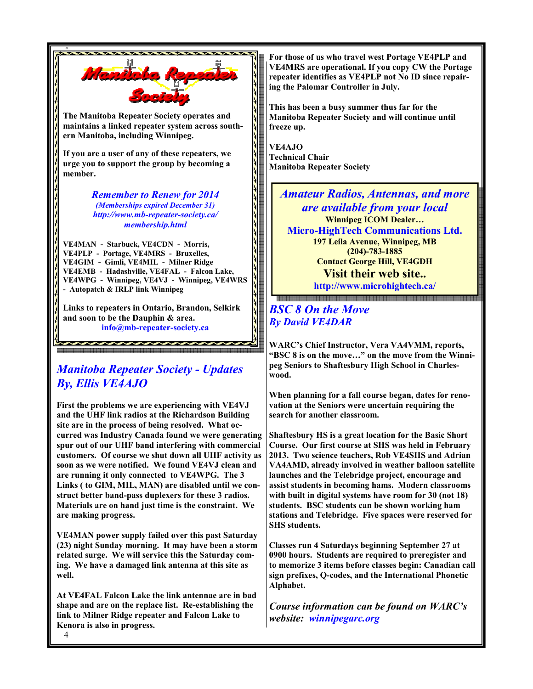

Remember to Renew for 2014 (Memberships expired December 31) http://www.mb-repeater-society.ca/ membership.html

VE4MAN - Starbuck, VE4CDN - Morris, VE4PLP - Portage, VE4MRS - Bruxelles, VE4GIM - Gimli, VE4MIL - Milner Ridge VE4EMB - Hadashville, VE4FAL - Falcon Lake, VE4WPG - Winnipeg, VE4VJ - Winnipeg, VE4WRS - Autopatch & IRLP link Winnipeg

Links to repeaters in Ontario, Brandon, Selkirk and soon to be the Dauphin & area. info@mb-repeater-society.ca

# Manitoba Repeater Society - Updates By, Ellis VE4AJO

First the problems we are experiencing with VE4VJ and the UHF link radios at the Richardson Building site are in the process of being resolved. What occurred was Industry Canada found we were generating spur out of our UHF band interfering with commercial customers. Of course we shut down all UHF activity as soon as we were notified. We found VE4VJ clean and are running it only connected to VE4WPG. The 3 Links ( to GIM, MIL, MAN) are disabled until we construct better band-pass duplexers for these 3 radios. Materials are on hand just time is the constraint. We are making progress.

VE4MAN power supply failed over this past Saturday (23) night Sunday morning. It may have been a storm related surge. We will service this the Saturday coming. We have a damaged link antenna at this site as well.

At VE4FAL Falcon Lake the link antennae are in bad shape and are on the replace list. Re-establishing the link to Milner Ridge repeater and Falcon Lake to Kenora is also in progress.

For those of us who travel west Portage VE4PLP and VE4MRS are operational. If you copy CW the Portage repeater identifies as VE4PLP not No ID since repairing the Palomar Controller in July.

This has been a busy summer thus far for the Manitoba Repeater Society and will continue until freeze up.

VE4AJO Technical Chair Manitoba Repeater Society

> Amateur Radios, Antennas, and more are available from your local Winnipeg ICOM Dealer… Micro-HighTech Communications Ltd. 197 Leila Avenue, Winnipeg, MB (204)-783-1885 Contact George Hill, VE4GDH Visit their web site..

http://www.microhightech.ca/

### BSC 8 On the Move By David VE4DAR

WARC's Chief Instructor, Vera VA4VMM, reports, "BSC 8 is on the move…" on the move from the Winnipeg Seniors to Shaftesbury High School in Charleswood.

When planning for a fall course began, dates for renovation at the Seniors were uncertain requiring the search for another classroom.

Shaftesbury HS is a great location for the Basic Short Course. Our first course at SHS was held in February 2013. Two science teachers, Rob VE4SHS and Adrian VA4AMD, already involved in weather balloon satellite launches and the Telebridge project, encourage and assist students in becoming hams. Modern classrooms with built in digital systems have room for 30 (not 18) students. BSC students can be shown working ham stations and Telebridge. Five spaces were reserved for SHS students.

Classes run 4 Saturdays beginning September 27 at 0900 hours. Students are required to preregister and to memorize 3 items before classes begin: Canadian call sign prefixes, Q-codes, and the International Phonetic Alphabet.

Course information can be found on WARC's website: winnipegarc.org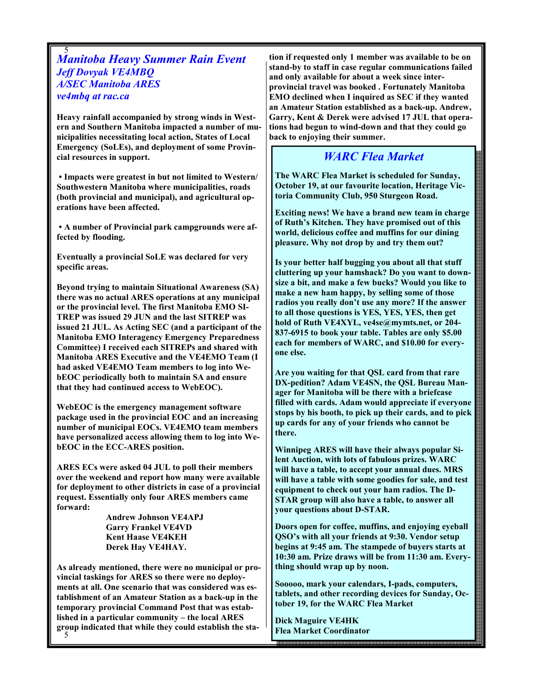#### 5 Manitoba Heavy Summer Rain Event Jeff Dovyak VE4MBQ A/SEC Manitoba ARES ve4mbq at rac.ca

Heavy rainfall accompanied by strong winds in Western and Southern Manitoba impacted a number of municipalities necessitating local action, States of Local Emergency (SoLEs), and deployment of some Provincial resources in support.

 • Impacts were greatest in but not limited to Western/ Southwestern Manitoba where municipalities, roads (both provincial and municipal), and agricultural operations have been affected.

 • A number of Provincial park campgrounds were affected by flooding.

Eventually a provincial SoLE was declared for very specific areas.

Beyond trying to maintain Situational Awareness (SA) there was no actual ARES operations at any municipal or the provincial level. The first Manitoba EMO SI-TREP was issued 29 JUN and the last SITREP was issued 21 JUL. As Acting SEC (and a participant of the Manitoba EMO Interagency Emergency Preparedness Committee) I received each SITREPs and shared with Manitoba ARES Executive and the VE4EMO Team (I had asked VE4EMO Team members to log into WebEOC periodically both to maintain SA and ensure that they had continued access to WebEOC).

WebEOC is the emergency management software package used in the provincial EOC and an increasing number of municipal EOCs. VE4EMO team members have personalized access allowing them to log into WebEOC in the ECC-ARES position.

ARES ECs were asked 04 JUL to poll their members over the weekend and report how many were available for deployment to other districts in case of a provincial request. Essentially only four ARES members came forward:

> Andrew Johnson VE4APJ Garry Frankel VE4VD Kent Haase VE4KEH Derek Hay VE4HAY.

5 As already mentioned, there were no municipal or provincial taskings for ARES so there were no deployments at all. One scenario that was considered was establishment of an Amateur Station as a back-up in the temporary provincial Command Post that was established in a particular community – the local ARES group indicated that while they could establish the station if requested only 1 member was available to be on stand-by to staff in case regular communications failed and only available for about a week since interprovincial travel was booked . Fortunately Manitoba EMO declined when I inquired as SEC if they wanted an Amateur Station established as a back-up. Andrew, Garry, Kent & Derek were advised 17 JUL that operations had begun to wind-down and that they could go back to enjoying their summer.

# WARC Flea Market

The WARC Flea Market is scheduled for Sunday, October 19, at our favourite location, Heritage Victoria Community Club, 950 Sturgeon Road.

Exciting news! We have a brand new team in charge of Ruth's Kitchen. They have promised out of this world, delicious coffee and muffins for our dining pleasure. Why not drop by and try them out?

Is your better half bugging you about all that stuff cluttering up your hamshack? Do you want to downsize a bit, and make a few bucks? Would you like to make a new ham happy, by selling some of those radios you really don't use any more? If the answer to all those questions is YES, YES, YES, then get hold of Ruth VE4XYL, ve4se@mymts.net, or 204- 837-6915 to book your table. Tables are only \$5.00 each for members of WARC, and \$10.00 for everyone else.

Are you waiting for that QSL card from that rare DX-pedition? Adam VE4SN, the QSL Bureau Manager for Manitoba will be there with a briefcase filled with cards. Adam would appreciate if everyone stops by his booth, to pick up their cards, and to pick up cards for any of your friends who cannot be there.

Winnipeg ARES will have their always popular Silent Auction, with lots of fabulous prizes. WARC will have a table, to accept your annual dues. MRS will have a table with some goodies for sale, and test equipment to check out your ham radios. The D-STAR group will also have a table, to answer all your questions about D-STAR.

Doors open for coffee, muffins, and enjoying eyeball QSO's with all your friends at 9:30. Vendor setup begins at 9:45 am. The stampede of buyers starts at 10:30 am. Prize draws will be from 11:30 am. Everything should wrap up by noon.

Sooooo, mark your calendars, I-pads, computers, tablets, and other recording devices for Sunday, October 19, for the WARC Flea Market

Dick Maguire VE4HK Flea Market Coordinator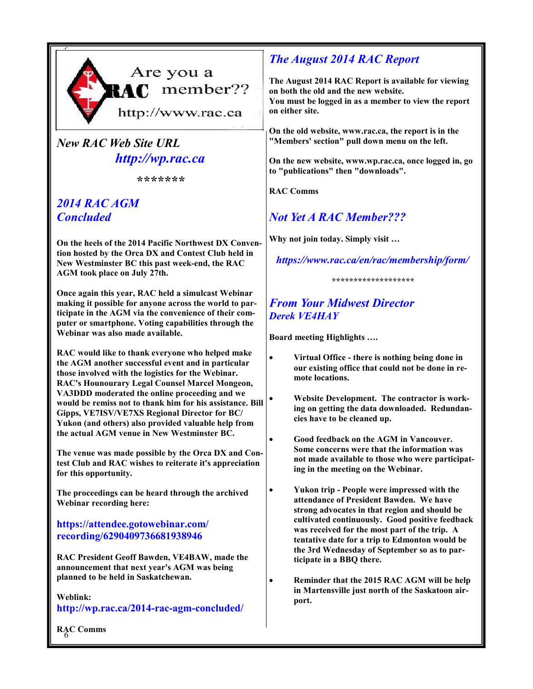

# New RAC Web Site URL http://wp.rac.ca

\*\*\*\*\*\*

# 2014 RAC AGM **Concluded**

On the heels of the 2014 Pacific Northwest DX Convention hosted by the Orca DX and Contest Club held in New Westminster BC this past week-end, the RAC AGM took place on July 27th.

Once again this year, RAC held a simulcast Webinar making it possible for anyone across the world to participate in the AGM via the convenience of their computer or smartphone. Voting capabilities through the Webinar was also made available.

RAC would like to thank everyone who helped make the AGM another successful event and in particular those involved with the logistics for the Webinar. RAC's Hounourary Legal Counsel Marcel Mongeon, VA3DDD moderated the online proceeding and we would be remiss not to thank him for his assistance. Bill Gipps, VE7ISV/VE7XS Regional Director for BC/ Yukon (and others) also provided valuable help from the actual AGM venue in New Westminster BC.

The venue was made possible by the Orca DX and Contest Club and RAC wishes to reiterate it's appreciation for this opportunity.

The proceedings can be heard through the archived Webinar recording here:

# https://attendee.gotowebinar.com/ recording/6290409736681938946

RAC President Geoff Bawden, VE4BAW, made the announcement that next year's AGM was being planned to be held in Saskatchewan.

#### Weblink: http://wp.rac.ca/2014-rac-agm-concluded/

# The August 2014 RAC Report

The August 2014 RAC Report is available for viewing on both the old and the new website. You must be logged in as a member to view the report on either site.

On the old website, www.rac.ca, the report is in the "Members' section" pull down menu on the left.

On the new website, www.wp.rac.ca, once logged in, go to "publications" then "downloads".

RAC Comms

# Not Yet A RAC Member???

Why not join today. Simply visit …

# https://www.rac.ca/en/rac/membership/form/

# From Your Midwest Director Derek VE4HAY

Board meeting Highlights ….

- Virtual Office there is nothing being done in our existing office that could not be done in remote locations.
- Website Development. The contractor is working on getting the data downloaded. Redundancies have to be cleaned up.
- Good feedback on the AGM in Vancouver. Some concerns were that the information was not made available to those who were participating in the meeting on the Webinar.
	- Yukon trip People were impressed with the attendance of President Bawden. We have strong advocates in that region and should be cultivated continuously. Good positive feedback was received for the most part of the trip. A tentative date for a trip to Edmonton would be the 3rd Wednesday of September so as to participate in a BBQ there.
	- Reminder that the 2015 RAC AGM will be help in Martensville just north of the Saskatoon airport.

6 RAC Comms

<sup>\*\*\*\*\*\*\*\*\*\*\*\*\*\*\*\*\*\*\*</sup>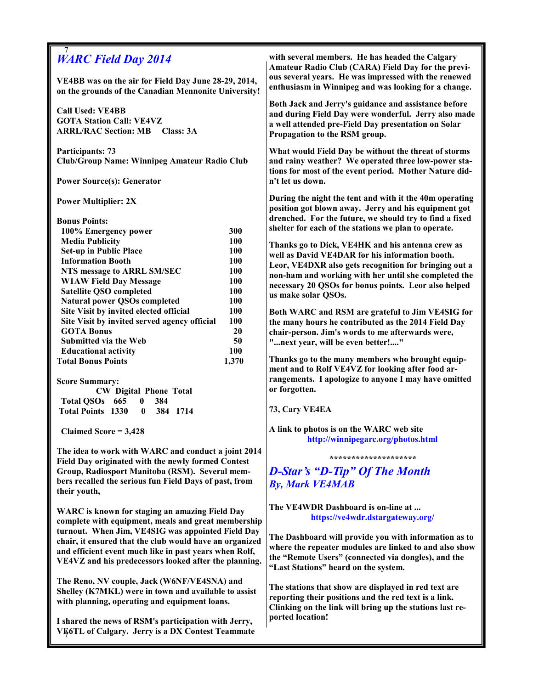| <b>WARC Field Day 2014</b>                                                                                   | with several members. He has headed the Calgary<br>Amateur Radio Club (CARA) Field Day for the previ-                                                                      |
|--------------------------------------------------------------------------------------------------------------|----------------------------------------------------------------------------------------------------------------------------------------------------------------------------|
| VE4BB was on the air for Field Day June 28-29, 2014,<br>on the grounds of the Canadian Mennonite University! | ous several years. He was impressed with the renewed<br>enthusiasm in Winnipeg and was looking for a change.                                                               |
| <b>Call Used: VE4BB</b><br><b>GOTA Station Call: VE4VZ</b><br><b>ARRL/RAC Section: MB Class: 3A</b>          | Both Jack and Jerry's guidance and assistance before<br>and during Field Day were wonderful. Jerry also made<br>a well attended pre-Field Day presentation on Solar        |
| <b>Participants: 73</b>                                                                                      | Propagation to the RSM group.<br>What would Field Day be without the threat of storms                                                                                      |
| Club/Group Name: Winnipeg Amateur Radio Club                                                                 | and rainy weather? We operated three low-power sta-<br>tions for most of the event period. Mother Nature did-                                                              |
| <b>Power Source(s): Generator</b>                                                                            | n't let us down.                                                                                                                                                           |
| <b>Power Multiplier: 2X</b>                                                                                  | During the night the tent and with it the 40m operating<br>position got blown away. Jerry and his equipment got<br>drenched. For the future, we should try to find a fixed |
| <b>Bonus Points:</b><br>300<br>100% Emergency power                                                          | shelter for each of the stations we plan to operate.                                                                                                                       |
| <b>Media Publicity</b><br>100                                                                                | Thanks go to Dick, VE4HK and his antenna crew as                                                                                                                           |
| <b>Set-up in Public Place</b><br>100                                                                         | well as David VE4DAR for his information booth.                                                                                                                            |
| <b>Information Booth</b><br>100                                                                              | Leor, VE4DXR also gets recognition for bringing out a                                                                                                                      |
| NTS message to ARRL SM/SEC<br>100                                                                            | non-ham and working with her until she completed the                                                                                                                       |
| <b>W1AW Field Day Message</b><br>100<br><b>Satellite QSO completed</b><br>100                                | necessary 20 QSOs for bonus points. Leor also helped                                                                                                                       |
| <b>Natural power QSOs completed</b><br>100                                                                   | us make solar QSOs.                                                                                                                                                        |
| Site Visit by invited elected official<br>100                                                                | Both WARC and RSM are grateful to Jim VE4SIG for                                                                                                                           |
| Site Visit by invited served agency official<br>100                                                          | the many hours he contributed as the 2014 Field Day                                                                                                                        |
| <b>GOTA Bonus</b><br>20                                                                                      | chair-person. Jim's words to me afterwards were,                                                                                                                           |
| 50<br>Submitted via the Web                                                                                  | "next year, will be even better!"                                                                                                                                          |
| 100<br><b>Educational activity</b>                                                                           |                                                                                                                                                                            |
| <b>Total Bonus Points</b><br>1,370                                                                           | Thanks go to the many members who brought equip-<br>ment and to Rolf VE4VZ for looking after food ar-                                                                      |
| <b>Score Summary:</b>                                                                                        | rangements. I apologize to anyone I may have omitted                                                                                                                       |
| <b>CW Digital Phone Total</b>                                                                                | or forgotten.                                                                                                                                                              |
| Total QSOs 665<br>384<br>$\bf{0}$                                                                            |                                                                                                                                                                            |
| <b>Total Points 1330</b><br>$\bf{0}$<br>384 1714                                                             | 73, Cary VE4EA                                                                                                                                                             |
| Claimed Score = $3,428$                                                                                      | A link to photos is on the WARC web site<br>http://winnipegarc.org/photos.html                                                                                             |
| The idea to work with WARC and conduct a joint 2014<br>Field Day originated with the newly formed Contest    | ********************                                                                                                                                                       |
| Group, Radiosport Manitoba (RSM). Several mem-                                                               | <b>D-Star's "D-Tip" Of The Month</b>                                                                                                                                       |
| bers recalled the serious fun Field Days of past, from                                                       | <b>By, Mark VE4MAB</b>                                                                                                                                                     |
| their youth,                                                                                                 |                                                                                                                                                                            |
| WARC is known for staging an amazing Field Day                                                               | The VE4WDR Dashboard is on-line at                                                                                                                                         |
| complete with equipment, meals and great membership                                                          | https://ve4wdr.dstargateway.org/                                                                                                                                           |
| turnout. When Jim, VE4SIG was appointed Field Day                                                            |                                                                                                                                                                            |
| chair, it ensured that the club would have an organized                                                      | The Dashboard will provide you with information as to<br>where the repeater modules are linked to and also show                                                            |
| and efficient event much like in past years when Rolf,                                                       | the "Remote Users" (connected via dongles), and the                                                                                                                        |
| VE4VZ and his predecessors looked after the planning.                                                        | "Last Stations" heard on the system.                                                                                                                                       |
| The Reno, NV couple, Jack (W6NF/VE4SNA) and                                                                  |                                                                                                                                                                            |
| Shelley (K7MKL) were in town and available to assist                                                         | The stations that show are displayed in red text are                                                                                                                       |
| with planning, operating and equipment loans.                                                                | reporting their positions and the red text is a link.                                                                                                                      |
|                                                                                                              | Clinking on the link will bring up the stations last re-                                                                                                                   |
| I shared the news of RSM's participation with Jerry,<br>VE6TL of Calgary. Jerry is a DX Contest Teammate     | ported location!                                                                                                                                                           |

7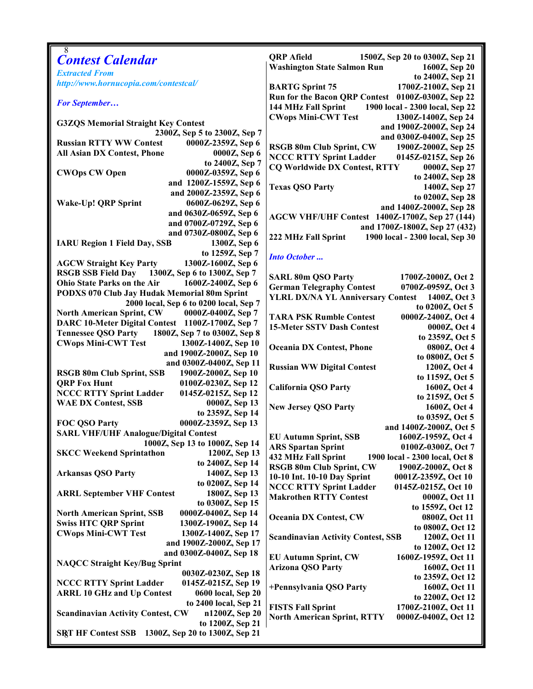| 8<br><b>Contest Calendar</b>                                                                                     | <b>QRP</b> Afield<br>1500Z, Sep 20 to 0300Z, Sep 21          |
|------------------------------------------------------------------------------------------------------------------|--------------------------------------------------------------|
|                                                                                                                  | <b>Washington State Salmon Run</b><br>1600Z, Sep 20          |
| <b>Extracted From</b>                                                                                            | to 2400Z, Sep 21                                             |
| http://www.hornucopia.com/contestcal/                                                                            | <b>BARTG Sprint 75</b><br>1700Z-2100Z, Sep 21                |
|                                                                                                                  | Run for the Bacon QRP Contest 0100Z-0300Z, Sep 22            |
| <b>For September</b>                                                                                             | 144 MHz Fall Sprint 1900 local - 2300 local, Sep 22          |
|                                                                                                                  | <b>CWops Mini-CWT Test</b><br>1300Z-1400Z, Sep 24            |
| <b>G3ZQS Memorial Straight Key Contest</b>                                                                       | and 1900Z-2000Z, Sep 24                                      |
| 2300Z, Sep 5 to 2300Z, Sep 7                                                                                     | and 0300Z-0400Z, Sep 25                                      |
| <b>Russian RTTY WW Contest</b><br>0000Z-2359Z, Sep 6                                                             | <b>RSGB 80m Club Sprint, CW</b><br>1900Z-2000Z, Sep 25       |
| 0000Z, Sep 6<br><b>All Asian DX Contest, Phone</b>                                                               | <b>NCCC RTTY Sprint Ladder</b><br>0145Z-0215Z, Sep 26        |
| to 2400Z, Sep 7                                                                                                  | <b>CQ Worldwide DX Contest, RTTY</b><br>0000Z, Sep 27        |
| <b>CWOps CW Open</b><br>0000Z-0359Z, Sep 6                                                                       | to 2400Z, Sep 28                                             |
| and 1200Z-1559Z, Sep 6                                                                                           | <b>Texas QSO Party</b><br>1400Z, Sep 27                      |
| and 2000Z-2359Z, Sep 6                                                                                           | to 0200Z, Sep 28                                             |
| Wake-Up! QRP Sprint<br>0600Z-0629Z, Sep 6                                                                        | and 1400Z-2000Z, Sep 28                                      |
| and 0630Z-0659Z, Sep 6                                                                                           | AGCW VHF/UHF Contest 1400Z-1700Z, Sep 27 (144)               |
| and 0700Z-0729Z, Sep 6                                                                                           | and 1700Z-1800Z, Sep 27 (432)                                |
| and 0730Z-0800Z, Sep 6                                                                                           | 1900 local - 2300 local, Sep 30<br>222 MHz Fall Sprint       |
| <b>IARU Region 1 Field Day, SSB</b><br>1300Z, Sep 6                                                              |                                                              |
| to 1259Z, Sep 7                                                                                                  | <b>Into October</b>                                          |
| 1300Z-1600Z, Sep 6<br><b>AGCW Straight Key Party</b>                                                             |                                                              |
| RSGB SSB Field Day 1300Z, Sep 6 to 1300Z, Sep 7<br>Ohio State Parks on the Air                                   | <b>SARL 80m QSO Party</b><br>1700Z-2000Z, Oct 2              |
| 1600Z-2400Z, Sep 6                                                                                               | <b>German Telegraphy Contest</b><br>0700Z-0959Z, Oct 3       |
| PODXS 070 Club Jay Hudak Memorial 80m Sprint<br>2000 local, Sep 6 to 0200 local, Sep 7                           | YLRL DX/NA YL Anniversary Contest 1400Z, Oct 3               |
| <b>North American Sprint, CW</b><br>0000Z-0400Z, Sep 7                                                           | to 0200Z, Oct 5                                              |
| DARC 10-Meter Digital Contest 1100Z-1700Z, Sep 7                                                                 | <b>TARA PSK Rumble Contest</b><br>0000Z-2400Z, Oct 4         |
| 1800Z, Sep 7 to 0300Z, Sep 8<br><b>Tennessee QSO Party</b>                                                       | <b>15-Meter SSTV Dash Contest</b><br>0000Z, Oct 4            |
| <b>CWops Mini-CWT Test</b><br>1300Z-1400Z, Sep 10                                                                | to 2359Z, Oct 5                                              |
| and 1900Z-2000Z, Sep 10                                                                                          | <b>Oceania DX Contest, Phone</b><br>0800Z, Oct 4             |
| and 0300Z-0400Z, Sep 11                                                                                          | to 0800Z, Oct 5                                              |
| RSGB 80m Club Sprint, SSB<br>1900Z-2000Z, Sep 10                                                                 | <b>Russian WW Digital Contest</b><br>1200Z, Oct 4            |
| <b>QRP Fox Hunt</b><br>0100Z-0230Z, Sep 12                                                                       | to 1159Z, Oct 5                                              |
| <b>NCCC RTTY Sprint Ladder</b><br>0145Z-0215Z, Sep 12                                                            | <b>California QSO Party</b><br>1600Z, Oct 4                  |
| <b>WAE DX Contest, SSB</b><br>0000Z, Sep 13                                                                      | to 2159Z, Oct 5<br>1600Z, Oct 4                              |
| to 2359Z, Sep 14                                                                                                 | <b>New Jersey QSO Party</b><br>to 0359Z, Oct 5               |
| FOC QSO Party<br>0000Z-2359Z, Sep 13                                                                             | and 1400Z-2000Z, Oct 5                                       |
| <b>SARL VHF/UHF Analogue/Digital Contest</b>                                                                     | <b>EU Autumn Sprint, SSB</b><br>1600Z-1959Z, Oct 4           |
| 1000Z, Sep 13 to 1000Z, Sep 14                                                                                   | <b>ARS Spartan Sprint</b><br>0100Z-0300Z, Oct 7              |
| <b>SKCC Weekend Sprintathon</b><br>1200Z, Sep 13                                                                 | <b>432 MHz Fall Sprint</b><br>1900 local - 2300 local, Oct 8 |
| to 2400Z, Sep 14                                                                                                 | <b>RSGB 80m Club Sprint, CW</b><br>1900Z-2000Z, Oct 8        |
| <b>Arkansas QSO Party</b><br>1400Z, Sep 13                                                                       | 10-10 Int. 10-10 Day Sprint<br>0001Z-2359Z, Oct 10           |
| to 0200Z, Sep 14                                                                                                 | <b>NCCC RTTY Sprint Ladder</b><br>0145Z-0215Z, Oct 10        |
| 1800Z, Sep 13<br><b>ARRL September VHF Contest</b>                                                               | <b>Makrothen RTTY Contest</b><br>0000Z, Oct 11               |
| to 0300Z, Sep 15                                                                                                 | to 1559Z, Oct 12                                             |
| 0000Z-0400Z, Sep 14<br><b>North American Sprint, SSB</b>                                                         | <b>Oceania DX Contest, CW</b><br>0800Z, Oct 11               |
| <b>Swiss HTC QRP Sprint</b><br>1300Z-1900Z, Sep 14                                                               | to 0800Z, Oct 12                                             |
| <b>CWops Mini-CWT Test</b><br>1300Z-1400Z, Sep 17                                                                | <b>Scandinavian Activity Contest, SSB</b><br>1200Z, Oct 11   |
| and 1900Z-2000Z, Sep 17                                                                                          | to 1200Z, Oct 12                                             |
| and 0300Z-0400Z, Sep 18                                                                                          | <b>EU Autumn Sprint, CW</b><br>1600Z-1959Z, Oct 11           |
| <b>NAQCC Straight Key/Bug Sprint</b>                                                                             | <b>Arizona QSO Party</b><br>1600Z, Oct 11                    |
| 0030Z-0230Z, Sep 18                                                                                              | to 2359Z, Oct 12                                             |
| <b>NCCC RTTY Sprint Ladder</b><br>0145Z-0215Z, Sep 19<br><b>ARRL 10 GHz and Up Contest</b><br>0600 local, Sep 20 | 1600Z, Oct 11<br>+Pennsylvania QSO Party                     |
| to 2400 local, Sep 21                                                                                            | to 2200Z, Oct 12                                             |
| <b>Scandinavian Activity Contest, CW</b><br>n1200Z, Sep 20                                                       | <b>FISTS Fall Sprint</b><br>1700Z-2100Z, Oct 11              |
| to 1200Z, Sep 21                                                                                                 | <b>North American Sprint, RTTY</b><br>0000Z-0400Z, Oct 12    |
| 1300Z, Sep 20 to 1300Z, Sep 21<br><b>SRT HF Contest SSB</b>                                                      |                                                              |